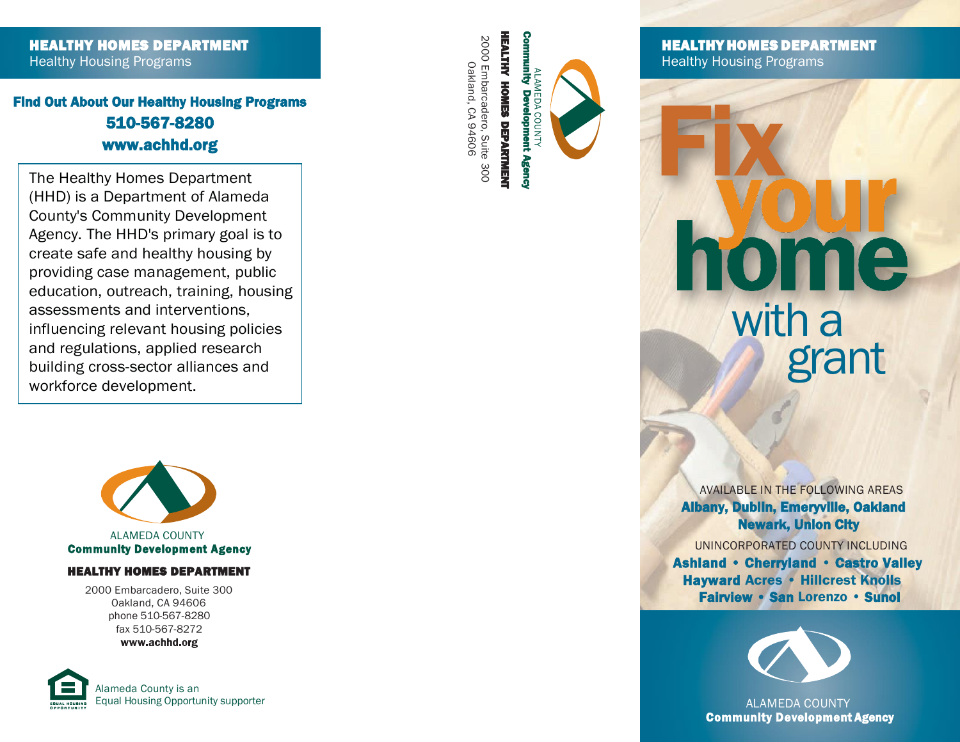# Find Out About Our Healthy Housing Programs 510 -567 -8280 [www.achhd.org](http://www.achhd.org/)

The Healthy Homes Department (HHD) is a Department of Alameda County's Community Development Agency. The HHD's primary goal is to create safe and healthy housing by providing case management, public education, outreach, training, housing assessments and interventions, influencing relevant housing policies and regulations, applied research building cross -sector alliances and workforce development.



ALAMEDA COUNTY Community Development Agency

#### HEALTHY HOMES DEPARTMENT

2000 Embarcadero, Suite 300 Oakland, CA 94606 phone 510 -567 -8280 fax 510 -567 -8272 www.achhd.org



ALAMEDA COUNTY<br>Community Development Agency<br>EALTHY HOMES DEPARTMENT<br>2000 Embarcadero, Suite 300 Oakland, CA 94606 Oakland, CA 94606



## HEALTHY HOMES DEPARTMENT Healthy Housing Programs

# with a grant Experience County and Control of the Control of the County of the County of the County of the County of the County of the County of the County of the County of the County of the County of the County of the County of the Co

AVAILABLE IN THE FOLLOWING AREAS Albany, Dublin, Emeryville, Oakland Newark, Union City

UNINCORPORATED COUNTY INCLUDING Ashland • Cherryland • Castro Valley Hayward Acres • Hillcrest Knolls Fairview • San Lorenzo • Sunol



ALAMEDA COUNTY